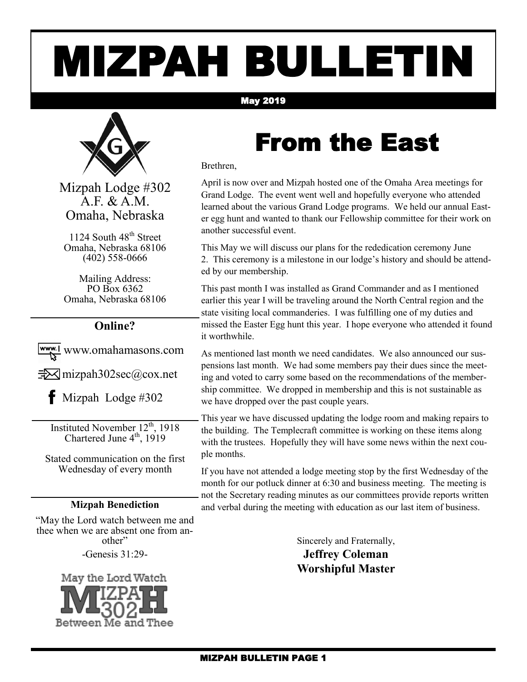# MIZPAH BULLETIN

#### May 2019



Mizpah Lodge #302 A.F. & A.M. Omaha, Nebraska

1124 South 48<sup>th</sup> Street Omaha, Nebraska 68106 (402) 558-0666

Mailing Address: PO Box 6362 Omaha, Nebraska 68106

#### **Online?**

www.omahamasons.com

 $\exists\forall$  mizpah302sec@cox.net

 $\bullet$  Mizpah Lodge #302

Instituted November 12<sup>th</sup>, 1918 Chartered June  $4<sup>th</sup>$ , 1919

Stated communication on the first Wednesday of every month

#### **Mizpah Benediction**

"May the Lord watch between me and thee when we are absent one from another"

-Genesis 31:29-



### From the East

Brethren,

April is now over and Mizpah hosted one of the Omaha Area meetings for Grand Lodge. The event went well and hopefully everyone who attended learned about the various Grand Lodge programs. We held our annual Easter egg hunt and wanted to thank our Fellowship committee for their work on another successful event.

This May we will discuss our plans for the rededication ceremony June 2. This ceremony is a milestone in our lodge's history and should be attended by our membership.

This past month I was installed as Grand Commander and as I mentioned earlier this year I will be traveling around the North Central region and the state visiting local commanderies. I was fulfilling one of my duties and missed the Easter Egg hunt this year. I hope everyone who attended it found it worthwhile.

As mentioned last month we need candidates. We also announced our suspensions last month. We had some members pay their dues since the meeting and voted to carry some based on the recommendations of the membership committee. We dropped in membership and this is not sustainable as we have dropped over the past couple years.

This year we have discussed updating the lodge room and making repairs to the building. The Templecraft committee is working on these items along with the trustees. Hopefully they will have some news within the next couple months.

If you have not attended a lodge meeting stop by the first Wednesday of the month for our potluck dinner at 6:30 and business meeting. The meeting is not the Secretary reading minutes as our committees provide reports written and verbal during the meeting with education as our last item of business.

Sincerely and Fraternally,

**Jeffrey Coleman Worshipful Master**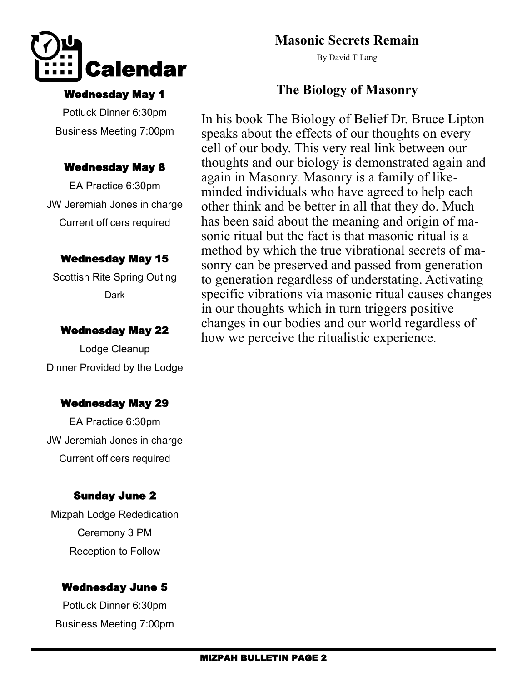

#### Wednesday May 1

Potluck Dinner 6:30pm Business Meeting 7:00pm

#### Wednesday May 8

EA Practice 6:30pm JW Jeremiah Jones in charge Current officers required

#### Wednesday May 15

Scottish Rite Spring Outing Dark

#### Wednesday May 22

Lodge Cleanup Dinner Provided by the Lodge

#### Wednesday May 29

EA Practice 6:30pm JW Jeremiah Jones in charge Current officers required

#### Sunday June 2

Mizpah Lodge Rededication Ceremony 3 PM Reception to Follow

#### Wednesday June 5

Potluck Dinner 6:30pm Business Meeting 7:00pm

#### **Masonic Secrets Remain**

By David T Lang

#### **The Biology of Masonry**

In his book The Biology of Belief Dr. Bruce Lipton speaks about the effects of our thoughts on every cell of our body. This very real link between our thoughts and our biology is demonstrated again and again in Masonry. Masonry is a family of likeminded individuals who have agreed to help each other think and be better in all that they do. Much has been said about the meaning and origin of masonic ritual but the fact is that masonic ritual is a method by which the true vibrational secrets of masonry can be preserved and passed from generation to generation regardless of understating. Activating specific vibrations via masonic ritual causes changes in our thoughts which in turn triggers positive changes in our bodies and our world regardless of how we perceive the ritualistic experience.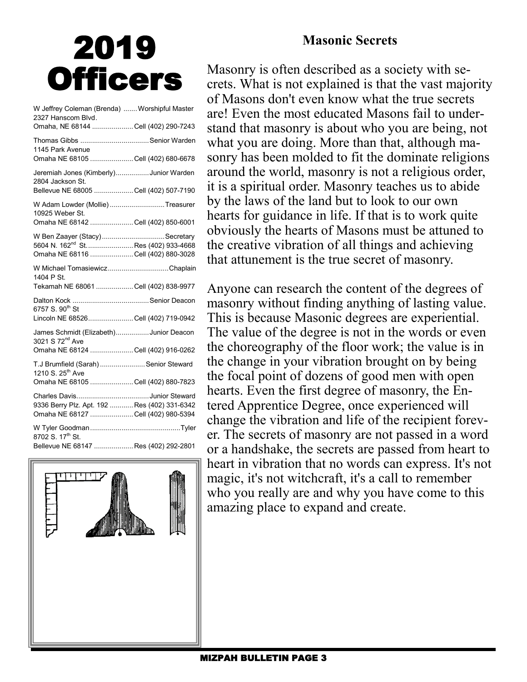#### **Masonic Secrets**

## 2019 **Officers**

| W Jeffrey Coleman (Brenda)  Worshipful Master<br>2327 Hanscom Blvd.<br>Omaha, NE 68144 Cell (402) 290-7243               |  |
|--------------------------------------------------------------------------------------------------------------------------|--|
| 1145 Park Avenue<br>Omaha NE 68105 Cell (402) 680-6678                                                                   |  |
| Jeremiah Jones (Kimberly)Junior Warden<br>2804 Jackson St.<br>Bellevue NE 68005 Cell (402) 507-7190                      |  |
| W Adam Lowder (Mollie)Treasurer<br>10925 Weber St.<br>Omaha NE 68142 Cell (402) 850-6001                                 |  |
| W Ben Zaayer (Stacy)Secretary<br>5604 N. 162 <sup>nd</sup> St.  Res (402) 933-4668<br>Omaha NE 68116 Cell (402) 880-3028 |  |
| W Michael TomasiewiczChaplain<br>1404 P St.<br>Tekamah NE 68061 Cell (402) 838-9977                                      |  |
| 6757 S. 90 <sup>th</sup> St<br>Lincoln NE 68526Cell (402) 719-0942                                                       |  |
| James Schmidt (Elizabeth)Junior Deacon<br>3021 S 72 <sup>nd</sup> Ave<br>Omaha NE 68124 Cell (402) 916-0262              |  |
| T.J Brumfield (Sarah)  Senior Steward<br>1210 S. 25 <sup>th</sup> Ave<br>Omaha NE 68105 Cell (402) 880-7823              |  |
| 9336 Berry Plz. Apt. 192 Res (402) 331-6342<br>Omaha NE 68127 Cell (402) 980-5394                                        |  |
| 8702 S. 17 <sup>th</sup> St.<br>Bellevue NE 68147 Res (402) 292-2801                                                     |  |



Masonry is often described as a society with secrets. What is not explained is that the vast majority of Masons don't even know what the true secrets are! Even the most educated Masons fail to understand that masonry is about who you are being, not what you are doing. More than that, although masonry has been molded to fit the dominate religions around the world, masonry is not a religious order, it is a spiritual order. Masonry teaches us to abide by the laws of the land but to look to our own hearts for guidance in life. If that is to work quite obviously the hearts of Masons must be attuned to the creative vibration of all things and achieving that attunement is the true secret of masonry.

Anyone can research the content of the degrees of masonry without finding anything of lasting value. This is because Masonic degrees are experiential. The value of the degree is not in the words or even the choreography of the floor work; the value is in the change in your vibration brought on by being the focal point of dozens of good men with open hearts. Even the first degree of masonry, the Entered Apprentice Degree, once experienced will change the vibration and life of the recipient forever. The secrets of masonry are not passed in a word or a handshake, the secrets are passed from heart to heart in vibration that no words can express. It's not magic, it's not witchcraft, it's a call to remember who you really are and why you have come to this amazing place to expand and create.